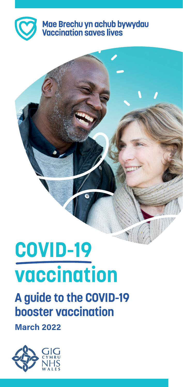

# Mae Brechu yn achub bywydau<br>Vaccination saves lives

# **COVID-19 vaccination**

### **A guide to the COVID-19 booster vaccination**

**March 2022**

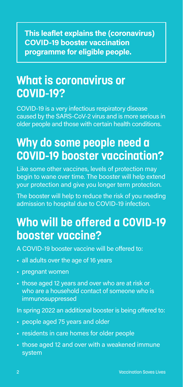**This leaflet explains the (coronavirus) COVID-19 booster vaccination programme for eligible people.**

### **What is coronavirus or COVID-19?**

COVID-19 is a very infectious respiratory disease caused by the SARS-CoV-2 virus and is more serious in older people and those with certain health conditions.

### **Why do some people need a COVID-19 booster vaccination?**

Like some other vaccines, levels of protection may begin to wane over time. The booster will help extend your protection and give you longer term protection.

The booster will help to reduce the risk of you needing admission to hospital due to COVID-19 infection.

### **Who will be offered a COVID-19 booster vaccine?**

A COVID-19 booster vaccine will be offered to:

- all adults over the age of 16 years
- pregnant women
- those aged 12 years and over who are at risk or who are a household contact of someone who is immunosuppressed

In spring 2022 an additional booster is being offered to:

- people aged 75 years and older
- residents in care homes for older people
- those aged 12 and over with a weakened immune system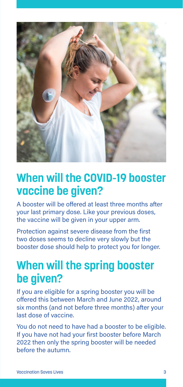

#### **When will the COVID-19 booster vaccine be given?**

A booster will be offered at least three months after your last primary dose. Like your previous doses, the vaccine will be given in your upper arm.

Protection against severe disease from the first two doses seems to decline very slowly but the booster dose should help to protect you for longer.

### **When will the spring booster be given?**

If you are eligible for a spring booster you will be offered this between March and June 2022, around six months (and not before three months) after your last dose of vaccine.

You do not need to have had a booster to be eligible. If you have not had your first booster before March 2022 then only the spring booster will be needed before the autumn.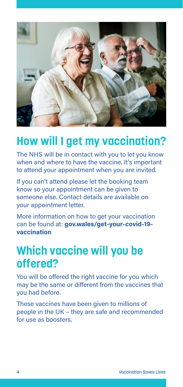

### **How will I get my vaccination?**

The NHS will be in contact with you to let you know when and where to have the vaccine. It's important to attend your appointment when you are invited.

If you can't attend please let the booking team know so your appointment can be given to someone else. Contact details are available on your appointment letter.

More information on how to get your vaccination can be found at: **[gov.wales/get-your-covid-19](https://gov.wales/get-your-covid-19-vaccination) [vaccination](https://gov.wales/get-your-covid-19-vaccination)**

### **Which vaccine will you be offered?**

You will be offered the right vaccine for you which may be the same or different from the vaccines that you had before.

These vaccines have been given to millions of people in the UK – they are safe and recommended for use as boosters.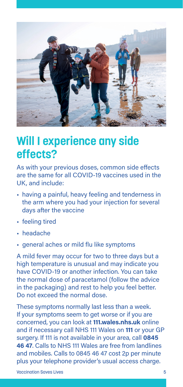

#### **Will I experience any side effects?**

As with your previous doses, common side effects are the same for all COVID-19 vaccines used in the UK, and include:

- having a painful, heavy feeling and tenderness in the arm where you had your injection for several days after the vaccine
- feeling tired
- headache
- general aches or mild flu like symptoms

A mild fever may occur for two to three days but a high temperature is unusual and may indicate you have COVID-19 or another infection. You can take the normal dose of paracetamol (follow the advice in the packaging) and rest to help you feel better. Do not exceed the normal dose.

These symptoms normally last less than a week. If your symptoms seem to get worse or if you are concerned, you can look at **[111.wales.nhs.uk](https://111.wales.nhs.uk)** online and if necessary call NHS 111 Wales on **111** or your GP surgery. If 111 is not available in your area, call **0845 46 47**. Calls to NHS 111 Wales are free from landlines and mobiles. Calls to 0845 46 47 cost 2p per minute plus your telephone provider's usual access charge.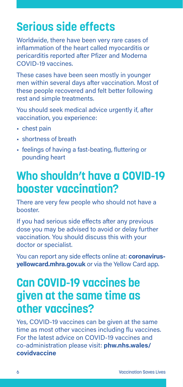### **Serious side effects**

Worldwide, there have been very rare cases of inflammation of the heart called myocarditis or pericarditis reported after Pfizer and Moderna COVID-19 vaccines.

These cases have been seen mostly in younger men within several days after vaccination. Most of these people recovered and felt better following rest and simple treatments.

You should seek medical advice urgently if, after vaccination, you experience:

- chest pain
- shortness of breath
- feelings of having a fast-beating, fluttering or pounding heart

#### **Who shouldn't have a COVID-19 booster vaccination?**

There are very few people who should not have a booster.

If you had serious side effects after any previous dose you may be advised to avoid or delay further vaccination. You should discuss this with your doctor or specialist.

You can report any side effects online at: **[coronavirus](https://coronavirus-yellowcard.mhra.gov.uk)[yellowcard.mhra.gov.uk](https://coronavirus-yellowcard.mhra.gov.uk)** or via the Yellow Card app.

### **Can COVID-19 vaccines be given at the same time as other vaccines?**

Yes, COVID-19 vaccines can be given at the same time as most other vaccines including flu vaccines. For the latest advice on COVID-19 vaccines and co-administration please visit: **[phw.nhs.wales/](https://phw.nhs.wales/topics/immunisation-and-vaccines/covid-19-vaccination-information/) [covidvaccine](https://phw.nhs.wales/topics/immunisation-and-vaccines/covid-19-vaccination-information/)**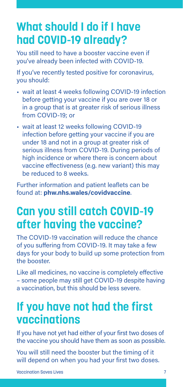### **What should I do if I have had COVID-19 already?**

You still need to have a booster vaccine even if you've already been infected with COVID-19.

If you've recently tested positive for coronavirus, you should:

- wait at least 4 weeks following COVID-19 infection before getting your vaccine if you are over 18 or in a group that is at greater risk of serious illness from COVID-19; or
- wait at least 12 weeks following COVID-19 infection before getting your vaccine if you are under 18 and not in a group at greater risk of serious illness from COVID-19. During periods of high incidence or where there is concern about vaccine effectiveness (e.g. new variant) this may be reduced to 8 weeks.

Further information and patient leaflets can be found at: **[phw.nhs.wales/covidvaccine](https://phw.nhs.wales/topics/immunisation-and-vaccines/covid-19-vaccination-information/)**.

### **Can you still catch COVID-19 after having the vaccine?**

The COVID-19 vaccination will reduce the chance of you suffering from COVID-19. It may take a few days for your body to build up some protection from the booster.

Like all medicines, no vaccine is completely effective – some people may still get COVID-19 despite having a vaccination, but this should be less severe.

#### **If you have not had the first vaccinations**

If you have not yet had either of your first two doses of the vaccine you should have them as soon as possible.

You will still need the booster but the timing of it will depend on when you had your first two doses.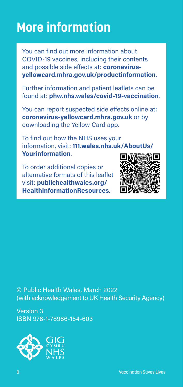### **More information**

You can find out more information about COVID-19 vaccines, including their contents and possible side effects at: **[coronavirus](https://coronavirus-yellowcard.mhra.gov.uk/productinformation)[yellowcard.mhra.gov.uk/productinformation](https://coronavirus-yellowcard.mhra.gov.uk/productinformation)**.

Further information and patient leaflets can be found at: **[phw.nhs.wales/covid-19-vaccination](https://phw.nhs.wales/topics/immunisation-and-vaccines/covid-19-vaccination-information/)**.

You can report suspected side effects online at: **[coronavirus-yellowcard.mhra.gov.uk](https://coronavirus-yellowcard.mhra.gov.uk)** or by downloading the Yellow Card app.

To find out how the NHS uses your information, visit: **[111.wales.nhs.uk/AboutUs/](https://111.wales.nhs.uk/AboutUs/Yourinformation/) [Yourinformation](https://111.wales.nhs.uk/AboutUs/Yourinformation/)**.

To order additional copies or alternative formats of this leaflet visit: **[publichealthwales.org/](https://phw.nhs.wales/services-and-teams/health-information-resources/) [HealthInformationResources](https://phw.nhs.wales/services-and-teams/health-information-resources/)**.



© Public Health Wales, March 2022 (with acknowledgement to UK Health Security Agency)

Version 3 ISBN 978-1-78986-154-603

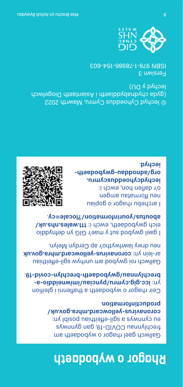### **Rhagor o wybodaeth**

Gallwch gael rhagor o wybodaeth am frechlynnau COVID-19, gan gynnwys en c $\lambda$ uuw $\lambda$ s a gil-e $\mu$ pielithiau posipl **[coronavirus-yellowcard.mhra.gov.uk/](https://coronavirus-yellowcard.mhra.gov.uk/productinformation)** . **[productinformation](https://coronavirus-yellowcard.mhra.gov.uk/productinformation)**

Ceir rhagor o wybodaeth a thaflenni i gleifion **[icc.gig.cymru/pynciau/imiwneiddio-a-](https://icc.gig.cymru/pynciau/imiwneiddio-a-brechlynnau/gwybodaeth-brechlyn-covid-19/)** yn: . **[brechlynnau/gwybodaeth-brechlyn-covid-19](https://icc.gig.cymru/pynciau/imiwneiddio-a-brechlynnau/gwybodaeth-brechlyn-covid-19/)**

Gallwch roi gwybod am unrhyw sgil-effeithiau **[coronavirus-yellowcard.mhra.gov.uk](https://coronavirus-yellowcard.mhra.gov.uk)** ar-lein yn: neu drwy lawrlwytho'r ap Cerdyn Melyn.

I gael gwybod sut y mae'r GIG yn defnyddio eich gwybodaeth, ewch i: [111.wales.nhs.uk/](https://111.wales.nhs.uk/aboutus/yourinformation/?locale=cy) . **[aboutus/yourinformation/?locale=cy](https://111.wales.nhs.uk/aboutus/yourinformation/?locale=cy)**





**[org/adnoddau-gwybodaeth-](https://icc.gig.cymru/gwasanaethau-a-thimau/adnoddau-gwybodaeth-iechyd/)** . **[iechyd](https://icc.gig.cymru/gwasanaethau-a-thimau/adnoddau-gwybodaeth-iechyd/)**

© Iechyd Cyhoeddus Cymru, Mawrth 2022 (gyda chydnabyddiaeth i Asiantaeth Diogelwch Iechyd y DU)

Fersiwn 3 ISBN 978-1-78986-154-603

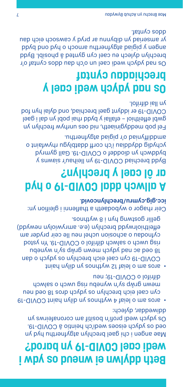### **Beth ddylwn ei wneud os ydw i wedi cael COVID-19 yn barod?**

Mae angen i chi gael brechlyn atgyfnerthu hyd yn oed os ydych eisoes wedi'ch heintio â COVID-19. Os ydych wedi profi'n bositif am coronafeirws yn ddiweddar, dylech:

- aros am o leiaf 4 wythnos yn dilyn haint COVID-19 c) cael eich brechlyn os ydych dros 18 oed neu mewn grŵp sy'n wynebu risg own salwch and difrifol o COVID-19; neu
- aros am o leiaf 12 wythnos yn dilyn haint COVID-19 cyn cael eich brechlyn os ydych o dan 18 oed ac nad dynab uwem dywb saw ar bad an risg uwch o salwch difrifol o COVID-19. Yn ystod cyfnodau o achosion uchel neu lle ceir pryder am effeithiolrwydd brechlyn (e.e. amrywiolyn newydd) gellir gostwng hyn i 8 wythnos.

Ceir rhagor o wybodaeth a thaflenni i gleifion yn: . **[icc.gig.cymru/brechlyncovid](https://icc.gig.cymru/pynciau/imiwneiddio-a-brechlynnau/gwybodaeth-brechlyn-covid-19/)**

### **A allwch ddal COVID-19 o hyd ar ôl cael y brechlyn?**

Bydd brechiad COVID-19 yn lleihau'r siawns y byddwch yn dioddef o COVID-19. Gall gymryd ychydig ddydiau i'ch corff ddatblygu roman o ddiadato amddiffyniad o'r pigiad atgyfnerthu.

Fel pob meddyginiaeth, nid oes unrhyw frechlyn yn gwbl effeithiol – efallai y bydd rhai pobl yn dal i gael COVID-19 er iddynt gael brechiad, ond dylai hyn fod yn llai difrifol.

### **Os nad ydych wedi cael y brechiadau cyntaf**

Os nad ydych wedi cael un o'ch dau ddos cyntaf o'r brechlyn dylech eu cael cyn gynted â phosibl. Bydd pp/d bno bydd o dooms udtad y beigid y nagne yr amseriad yn dibynnu ar pryd y cawsoch eich dau ddos cyntaf.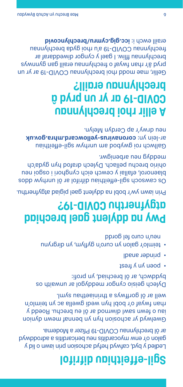### **Sgil-effeithiau difrifol**

Ledled y byd, cafwyd hefyd achosion prin iawn o lid y galon o'r enw myocarditis neu bericarditis a adroddwyd ar ôl brechlynnau COVID-19 Pfizer a Moderna.

Gwelwyd yr achosion hyn yn bennaf mewn dynion iau o fewn sawl diwrnod ar ôl eu brechu. Roedd y rhan fwyaf o'r bobl hyn wedi gwella ac yn teimlo'n well ar ôl gorffwys a thriniaethau syml.

Dylech geisio cyngor meddygol ar unwaith os byddwch, ar ôl brechiad, yn profi:

- poen yn y frest
- prinder anadl •
- teimlo'r galon yn curo'n gyflym, yn dirgrynu ppuoß jet ou no uneu

### **Pwy na ddylent gael brechiad atgyfnerthu COVID-19?**

Prin iawn yw'r bobl na ddylent gael pigiad atgyfnerthu.

Os cawsoch sgil-effeithiau difrifol ar ôl unrhyw ddos blaenorol, efallai y cewch eich cynghori i osgoi neu ohirio brechu pellach. Dylech drafod hyn gyda'ch meddyg neu arbenigwr.

Gallwch roi gwybod am unrhyw sgil-effeithiau **[coronavirus-yellowcard.mhra.gov.uk](https://coronavirus-yellowcard.mhra.gov.uk)** ar-lein yn: neu drwy'r ap Cerdyn Melyn.

### **A ellir rhoi brechlynnau COVID-19 ar yr un pryd â brechlynnau eraill?**

Gellir, mae modd rhoi brechlynnau COVID-19 ar yr un pryd â'r rhan fwyaf o frechlynnau eraill gan gynnwys brechlynnau ffliw. I gael y cyngor diweddaraf ar frechlynnau COVID-19 a'u rhoi gyda brechlynnau eraill ewch i: **[icc.gig.cymru/brechlyncovid](https://icc.gig.cymru/pynciau/imiwneiddio-a-brechlynnau/gwybodaeth-brechlyn-covid-19/)**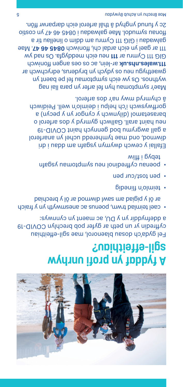

### **A fyddaf yn profi unrhyw sgil-effeithiau?**

Fel gyda'ch dosau blaenorol, mae sgil-effeithiau cyffredin yr un peth ar gyfer pob brechlyn COVID-19 a ddefnyddir yn y DU, ac maent yn cynnwys:

- cael teimlad trwm, poenus ac anesmwyth yn y fraich ar ôl y pigiad am sawl diwrnod ar ôl y brechiad
- feimigual flipedig
- pen tost/cur pen
- puenas cyfredinol neu poenas redisions and suppose the symptoms of  $\cdot$ tebyg i ffliw

Efallai y cewch dwymyn ysgafn am ddau i dri diwrnod, ond mae tymheredd uchel yn anarferol a gall awgrymu bod gennych haint COVID-19 neu haint arall. Gallwch gymryd y dos arferol o barasetamol (dilynwch y cyngor yn y pecyn) a gorffwyswch i'ch helpu i deimlo'n well. Peidiwch â chymryd mwy na'r dos arferol.

Mae'r symptomau hyn fel arfer yn para llai nag wythnos. Os yw eich symptomau fel pe baent yn gwaethygu neu os ydych yn bryderus, edrychwch ar ar-lein, and rein, and thousan to os ouden thousand for the position GIG 111 Cymru ar 111 neu eich meddygfa. Os nad yw 111 ar gael yn eich ardal chi, ffoniwch 0845 46 47. Mae galwadau i GIG 111 Cymru am ddim o linellau tir a ffons out soo undol. Mae galwadau i 0845 47 yn costio 2c y funud ynghyd â thâl arferol eich darparwr ffôn.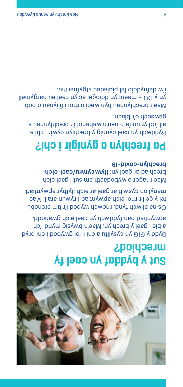

#### **Sut y byddaf yn cael fy mrechiad?**

Bydd y GIG yn cysylltu â chi i roi gwybod i chi pryd a ble i gael y brechlyn. Mae'n bwysig mynd i'ch apwyntiad pan fyddwch yn cael eich gwahodd.

Os na allwch fynd, rhowch wybod i'r tîm archebu fel y gellir rhoi eich apwyntiad i rywun arall. Mae manylion cyswllt ar gael ar eich llythyr apwyntiad.

Mae rhagor o wybodaeth am sut i gael eich prechiad ar gael yn: [llyw.cymru/cael-eich](https://llyw.cymru/cael-eich-brechlyn-covid-19) **[brechlyn-covid-19](https://llyw.cymru/cael-eich-brechlyn-covid-19)**

### **Pa frechlyn a gynigir i chi?**

Byddwch yn cael cynnig y brechlyn cywir i chi a all fod yr un fath neu'n wahanol i'r brechlynnau a gawsoch o'r blaen.

Mae'r brechlynnau hyn wedi'u rhoi i filiynau o bobl yn y DU – maent yn ddiogel ac yn cael eu hargymell i'w defnyddio fel pigiadau atgyfnerthu.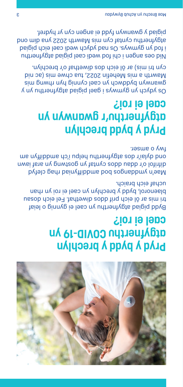

#### **Pryd y bydd y brechlyn atgyfnerthu COVID-19 yn cael ei roi?**

Bydd pigiad atgyfnerthu yn cael ei gynnig o leiaf tri mis ar ôl eich prif ddos diwethaf. Fel eich dosau blaenorol, bydd y brechlyn yn cael ei roi yn rhan uchaf eich braich.

Mae'n ymdog bod sobueppun ungoryth pytal difrifol o'r ddau ddos cyntaf yn gostwng yn araf iawn ond gylaig and dylaid and the use and the use and the use and the use and the use and the use and the use and  $\mu$ fwy o amser.

### **Pryd y bydd brechlyn atgyfnerthu'r gwanwyn yn cael ei roi?**

Os ydych yn gymwys i gael pigiad atgyfnerthu yn y gim byddwch yn cael cynnig hyn byn a sim bwdai Mawrth a mis Mehefin 2022, tua chwe mis (ac nid cyn tri mis) ar ôl eich dos diwethaf o'r brechlyn.

Nid oes angen i chi fod wedi cael pigiad atgyfnerthu i fod yn gymwys. Os nad ydych wedi cael eich pigiad atgyfnerthu cyntaf cyn mis Mawrth 2022 yna dim ond pigiad y gwanwyn fydd ei angen cyn yr hydref.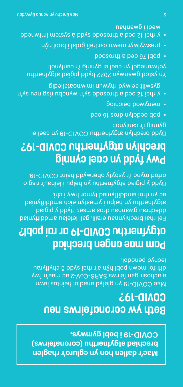**Mae'r daflen hon yn egluro'r rhaglen brechiad atgyfnerthu (coronafeirws) COVID-19 i bobl gymwys.** 

### **Beth yw coronafeirws neu COVID-19?**

Mae COVID-19 yn glefyd anadlol heintus iawn a achosir gan feirws SARS-CoV-2 ac mae'n fwy difrifol mewn pobl hŷn a'r rhai sydd â chyflyrau iechyd penodol.

#### **Pam mae angen brechiad atgyfnerthu COVID-19 ar rai pobl?**

Fel rhai brechlynnau eraill, gall lefelau amddiffyniad dechrau gwanhau dros amser. Bydd y pigiad atgyfnerthu yn helpu i ymestyn eich amddiffyniad ac yn rhoi amddiffyniad tymor hwy i chi.

Bydd y pigiad batgynerthu yn helpu i leihau'r risg o orfod mynd i'r ysbyty oherwydd haint COVID-19.

### **Pwy fydd yn cael cynnig brechlyn atgyfnerthu COVID-19?**

Bydd brechlyn atgyfnerthu COVID-19 yn cael ei gynnig i'r canlynol:

- poo at aonb nylobeo doq
- menywod beichiog •
- y and the pao zi isula sy ratio system in the set of the set of the set of  $\alpha$  . gibeilateonwimi ruwydt bywles fllwayg

Yn ystod gwanwyn 5025 pydd pigiad atgyfner hufushing at ychwanegol yn cael ei gynnig i'r canlynol:

- pobl 75 oed a throsodd
- preswylwyr mewn cartrefi gofal i bobl hŷn
- y rhai 12 oed a throsodd sydd â system imiwnedd wedi'i gwanhau